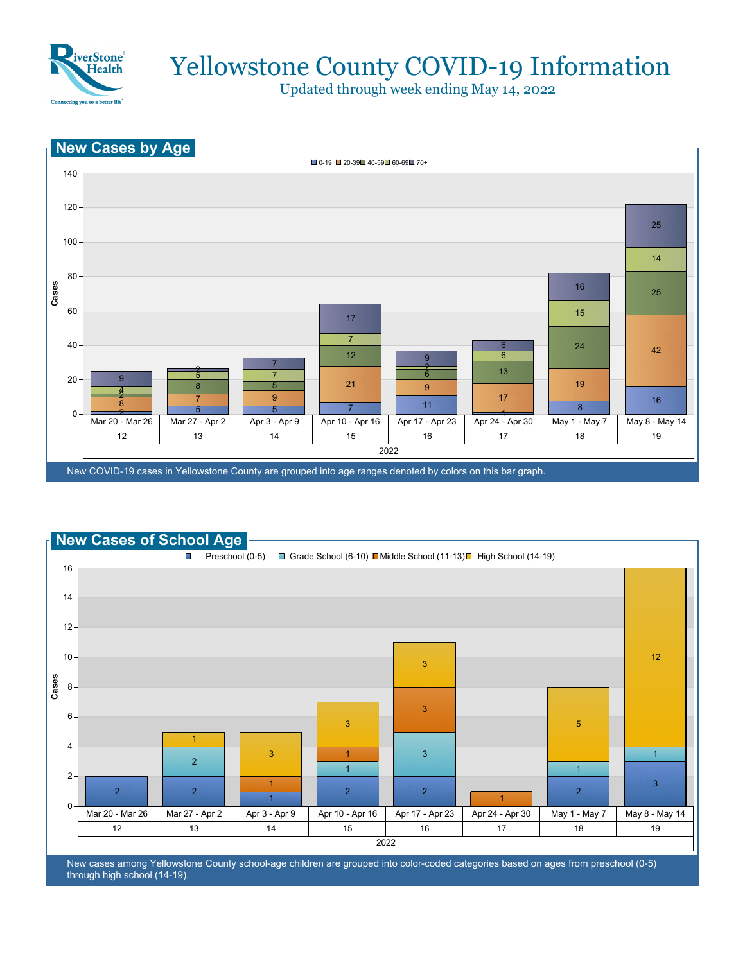

Updated through week ending May 14, 2022





New cases among Yellowstone County school-age children are grouped into color-coded categories based on ages from preschool (0-5) through high school (14-19).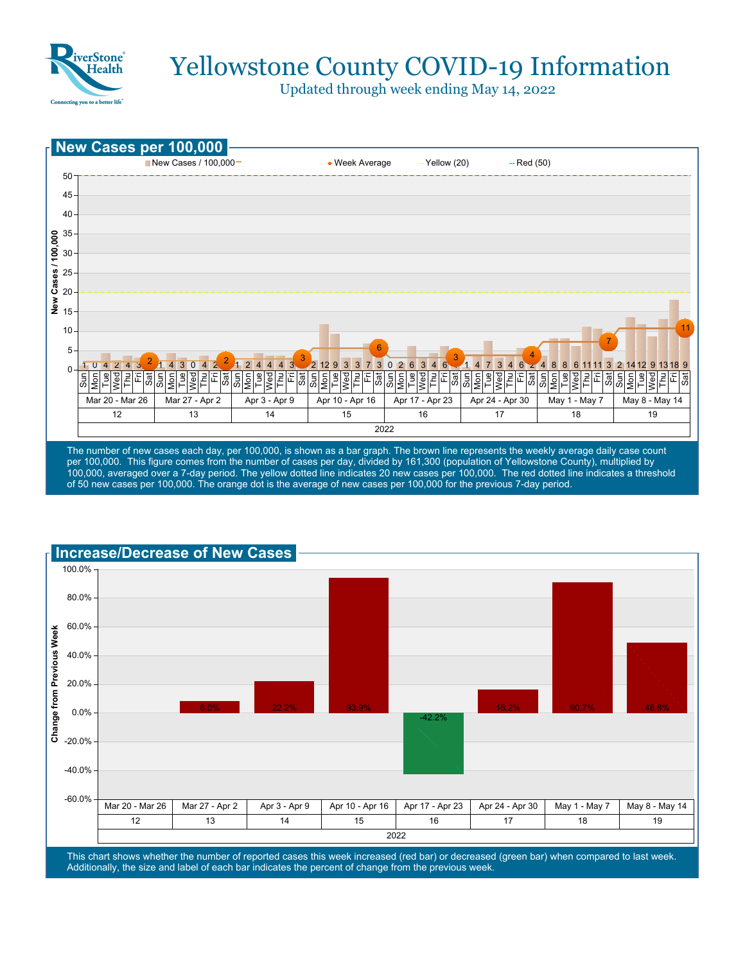

Updated through week ending May 14, 2022



100,000, averaged over a 7-day period. The yellow dotted line indicates 20 new cases per 100,000. The red dotted line indicates a threshold of 50 new cases per 100,000. The orange dot is the average of new cases per 100,000 for the previous 7-day period.



This chart shows whether the number of reported cases this week increased (red bar) or decreased (green bar) when compared to last week. Additionally, the size and label of each bar indicates the percent of change from the previous week.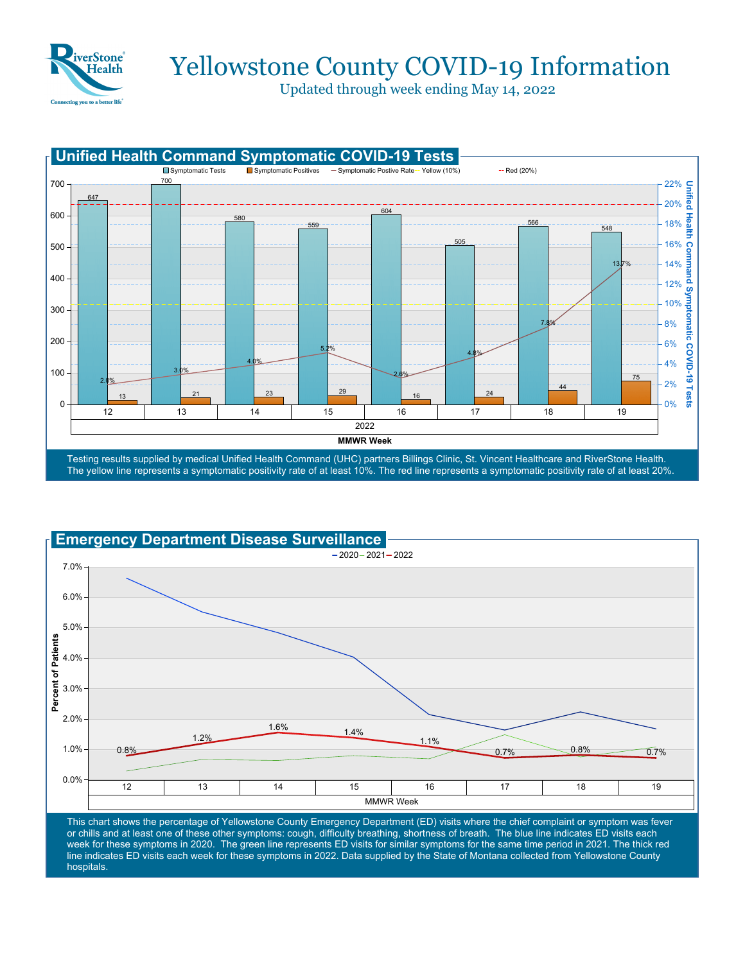

Updated through week ending May 14, 2022





This chart shows the percentage of Yellowstone County Emergency Department (ED) visits where the chief complaint or symptom was fever or chills and at least one of these other symptoms: cough, difficulty breathing, shortness of breath. The blue line indicates ED visits each week for these symptoms in 2020. The green line represents ED visits for similar symptoms for the same time period in 2021. The thick red line indicates ED visits each week for these symptoms in 2022. Data supplied by the State of Montana collected from Yellowstone County hospitals.